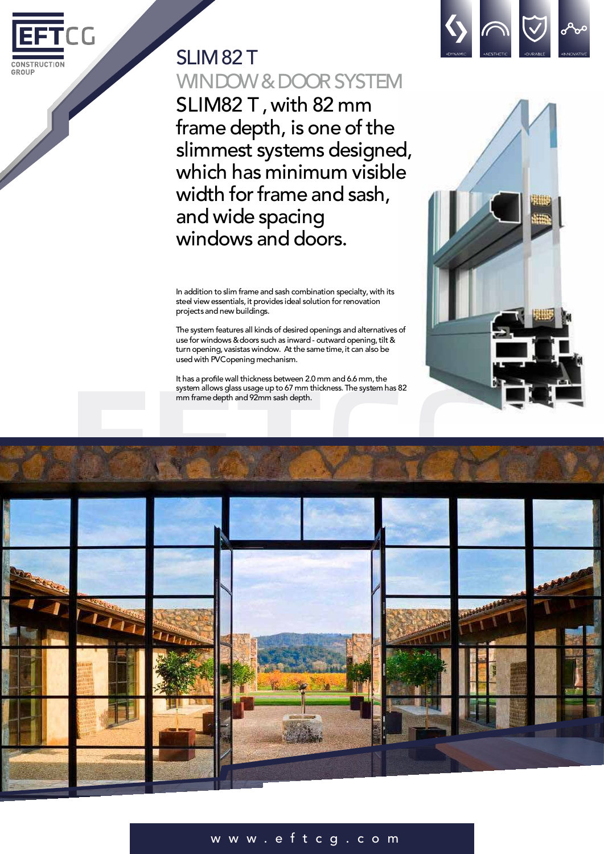

## SLIM<sub>82</sub>T WINDOW & DOOR SYSTEM

SLIM82 T, with 82 mm frame depth, is one of the slimmest systems designed, which has minimum visible width for frame and sash, and wide spacing windows and doors.

In addition to slim frame and sash combination specialty, with its steel view essentials, it provides ideal solution for renovation projectsand new buildings.

The system features all kinds of desired openings and alternatives of use for windows & doors such as inward - outward opening, tilt & turn opening, vasistas window. At the same time, it can also be used with PVCopening mechanism.

It has a profile wall thickness between 2.0 mm and 6.6 mm, the system allows glass usage up to 67 mm thickness. The system has 82 mm framedepth and 92mm sash depth.







## w w w . e f t c g . c o m